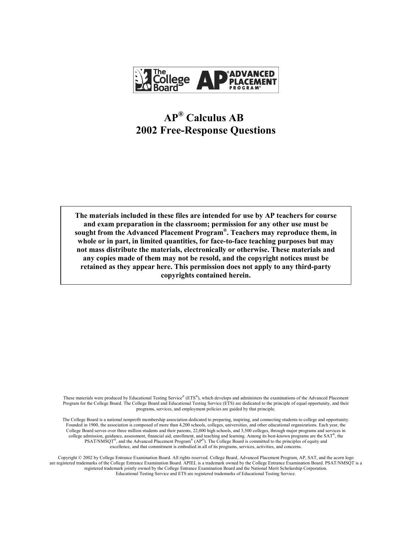

# **APÆ Calculus AB 2002 Free-Response Questions**

**The materials included in these files are intended for use by AP teachers for course and exam preparation in the classroom; permission for any other use must be**  sought from the Advanced Placement Program<sup>®</sup>. Teachers may reproduce them, in **whole or in part, in limited quantities, for face-to-face teaching purposes but may not mass distribute the materials, electronically or otherwise. These materials and any copies made of them may not be resold, and the copyright notices must be retained as they appear here. This permission does not apply to any third-party copyrights contained herein.** 

These materials were produced by Educational Testing Service® ( $ETS^*$ ), which develops and administers the examinations of the Advanced Placement Program for the College Board. The College Board and Educational Testing Service (ETS) are dedicated to the principle of equal opportunity, and their programs, services, and employment policies are guided by that principle.

The College Board is a national nonprofit membership association dedicated to preparing, inspiring, and connecting students to college and opportunity. Founded in 1900, the association is composed of more than 4,200 schools, colleges, universities, and other educational organizations. Each year, the College Board serves over three million students and their parents, 22,000 high schools, and 3,500 colleges, through major programs and services in college admission, guidance, assessment, financial aid, enrollment, and teaching and learning. Among its best-known programs are the  $SAT^*$ , the  $PSAT/NM\text{SQT}^{\text{R}}$ , and the Advanced Placement Program<sup>®</sup> (AP<sup>®</sup>). The College Board is committed to the principles of equity and excellence, and that commitment is embodied in all of its programs, services, activities, and concerns.

Copyright © 2002 by College Entrance Examination Board. All rights reserved. College Board, Advanced Placement Program, AP, SAT, and the acorn logo are registered trademarks of the College Entrance Examination Board. APIEL is a trademark owned by the College Entrance Examination Board. PSAT/NMSQT is a registered trademark jointly owned by the College Entrance Examination Board and the National Merit Scholarship Corporation. Educational Testing Service and ETS are registered trademarks of Educational Testing Service.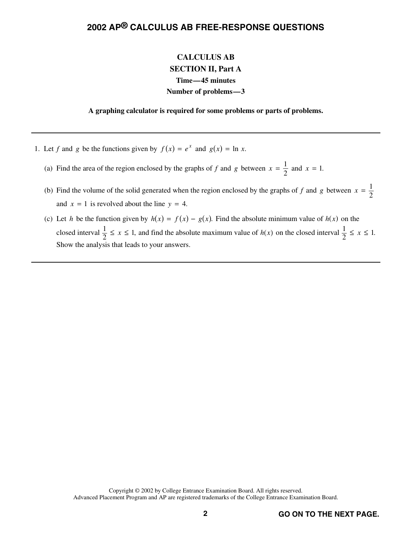### **CALCULUS AB SECTION II, Part A Time—45 minutes Number of problems—3**

**A graphing calculator is required for some problems or parts of problems.** 

- 1. Let *f* and *g* be the functions given by  $f(x) = e^x$  and  $g(x) = \ln x$ .
	- (a) Find the area of the region enclosed by the graphs of *f* and *g* between  $x = \frac{1}{2}$  and  $x = 1$ .
	- (b) Find the volume of the solid generated when the region enclosed by the graphs of *f* and *g* between  $x = \frac{1}{2}$ and  $x = 1$  is revolved about the line  $y = 4$ .
	- (c) Let *h* be the function given by  $h(x) = f(x) g(x)$ . Find the absolute minimum value of  $h(x)$  on the closed interval  $\frac{1}{2} \le x \le 1$ , and find the absolute maximum value of  $h(x)$  on the closed interval  $\frac{1}{2} \le x \le 1$ . Show the analysis that leads to your answers.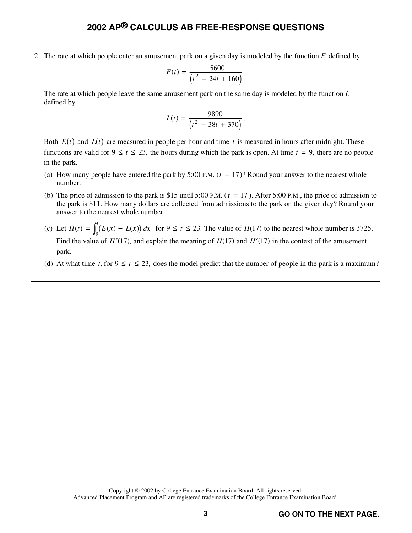2. The rate at which people enter an amusement park on a given day is modeled by the function *E* defined by

$$
E(t) = \frac{15600}{(t^2 - 24t + 160)}.
$$

 The rate at which people leave the same amusement park on the same day is modeled by the function *L* defined by

$$
L(t) = \frac{9890}{\left(t^2 - 38t + 370\right)}.
$$

Both  $E(t)$  and  $L(t)$  are measured in people per hour and time t is measured in hours after midnight. These functions are valid for  $9 \le t \le 23$ , the hours during which the park is open. At time  $t = 9$ , there are no people in the park.

- (a) How many people have entered the park by 5:00 P.M.  $(t = 17)$ ? Round your answer to the nearest whole number.
- (b) The price of admission to the park is \$15 until 5:00 P.M. ( $t = 17$ ). After 5:00 P.M., the price of admission to the park is \$11. How many dollars are collected from admissions to the park on the given day? Round your answer to the nearest whole number.
- (c) Let  $H(t) = \int_{0}^{t} (E(x) L(x)) dx$  $\int_0^t (E(x) - L(x))$  $\int_{9}^{6} (E(x) - L(x)) dx$  for  $9 \le t \le 23$ . The value of *H*(17) to the nearest whole number is 3725. Find the value of  $H'(17)$ , and explain the meaning of  $H(17)$  and  $H'(17)$  in the context of the amusement park.
- (d) At what time *t*, for  $9 \le t \le 23$ , does the model predict that the number of people in the park is a maximum?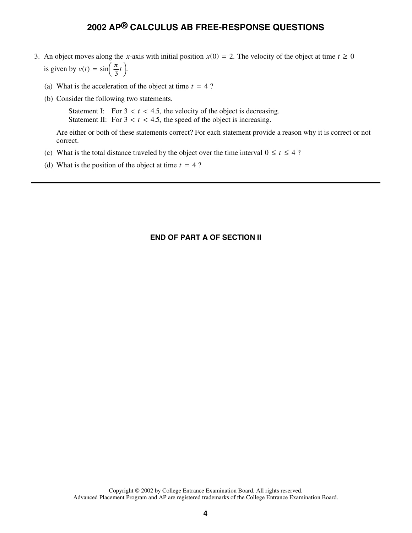- 3. An object moves along the *x*-axis with initial position  $x(0) = 2$ . The velocity of the object at time  $t \ge 0$ An object moves along the 3<br>is given by  $v(t) = \sin\left(\frac{\pi}{3}t\right)$ .
	- (a) What is the acceleration of the object at time  $t = 4$  ?
	- (b) Consider the following two statements.

Statement I: For  $3 < t < 4.5$ , the velocity of the object is decreasing. Statement II: For  $3 < t < 4.5$ , the speed of the object is increasing.

 Are either or both of these statements correct? For each statement provide a reason why it is correct or not correct.

- (c) What is the total distance traveled by the object over the time interval  $0 \le t \le 4$ ?
- (d) What is the position of the object at time  $t = 4$ ?

#### **END OF PART A OF SECTION II**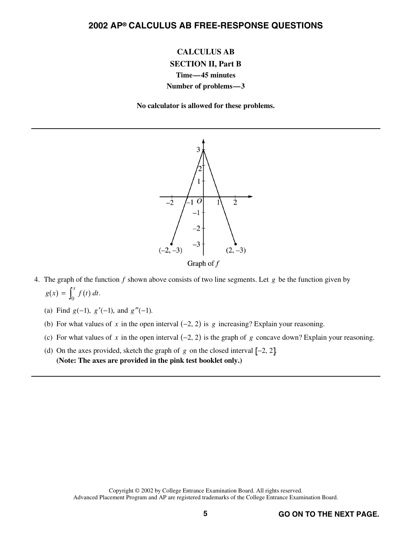## **CALCULUS AB SECTION II, Part B Time—45 minutes**

#### **Number of problems—3**

**No calculator is allowed for these problems.** 



- 4. The graph of the function *f* shown above consists of two line segments. Let *g* be the function given by  $g(x) = \int_0^x f(t) dt.$ 
	- (a) Find  $g(-1)$ ,  $g'(-1)$ , and  $g''(-1)$ .
	- (b) For what values of x in the open interval  $(-2, 2)$  is g increasing? Explain your reasoning.
	- (c) For what values of x in the open interval  $(-2, 2)$  is the graph of g concave down? Explain your reasoning.
	- (d) On the axes provided, sketch the graph of  $g$  on the closed interval  $[-2, 2]$ . **(Note: The axes are provided in the pink test booklet only.)**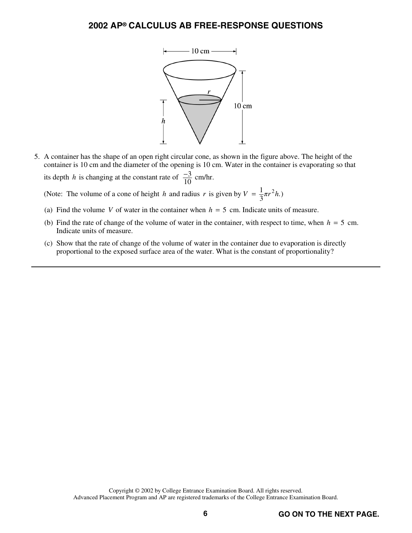

 5. A container has the shape of an open right circular cone, as shown in the figure above. The height of the container is 10 cm and the diameter of the opening is 10 cm. Water in the container is evaporating so that

its depth *h* is changing at the constant rate of  $\frac{-3}{10}$  cm/hr.

(Note: The volume of a cone of height *h* and radius *r* is given by  $V = \frac{1}{3}\pi r^2 h$ .)

- (a) Find the volume *V* of water in the container when  $h = 5$  cm. Indicate units of measure.
- (b) Find the rate of change of the volume of water in the container, with respect to time, when  $h = 5$  cm. Indicate units of measure.
- (c) Show that the rate of change of the volume of water in the container due to evaporation is directly proportional to the exposed surface area of the water. What is the constant of proportionality?